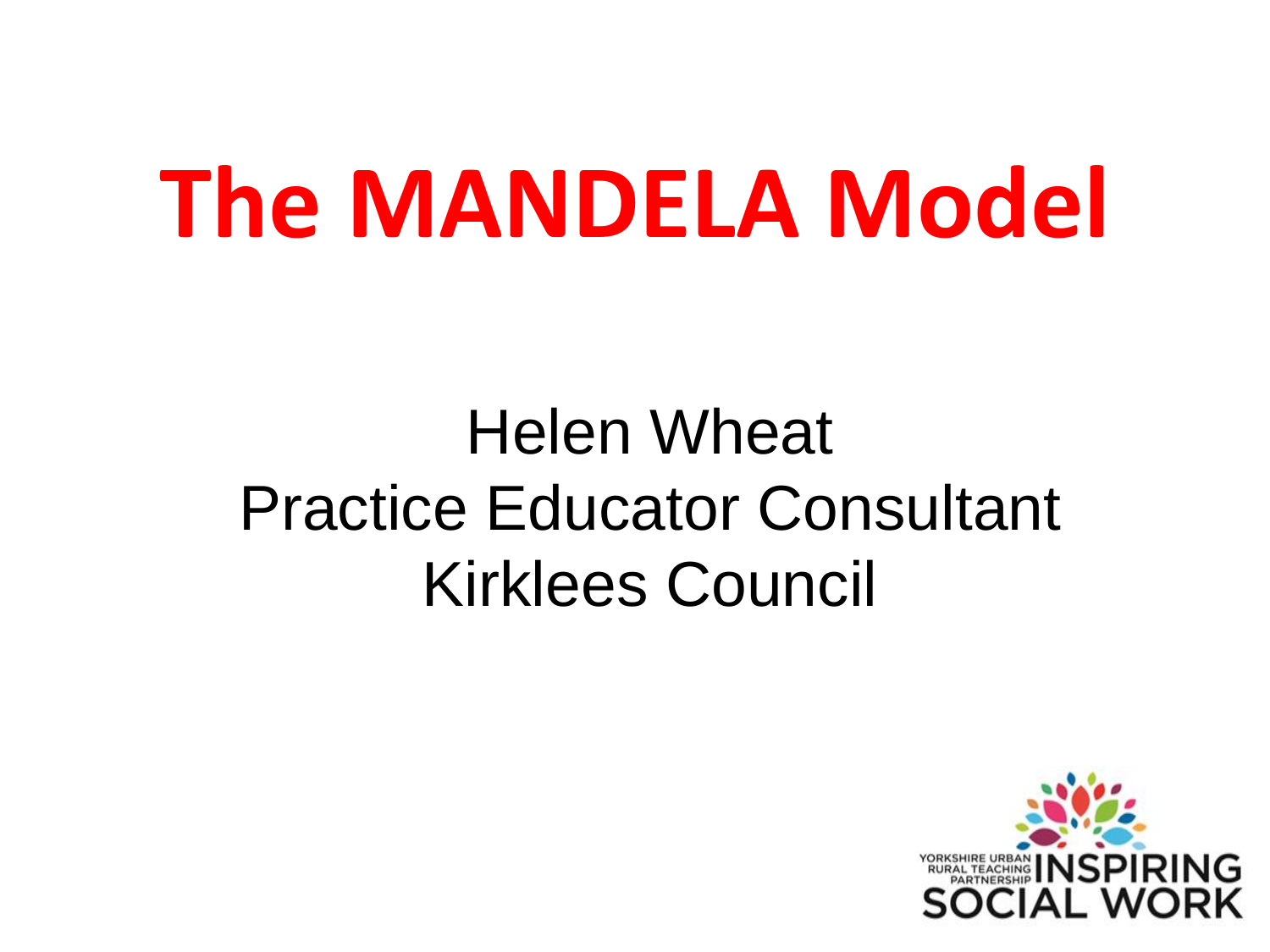## **The MANDELA Model**

#### Helen Wheat Practice Educator Consultant Kirklees Council

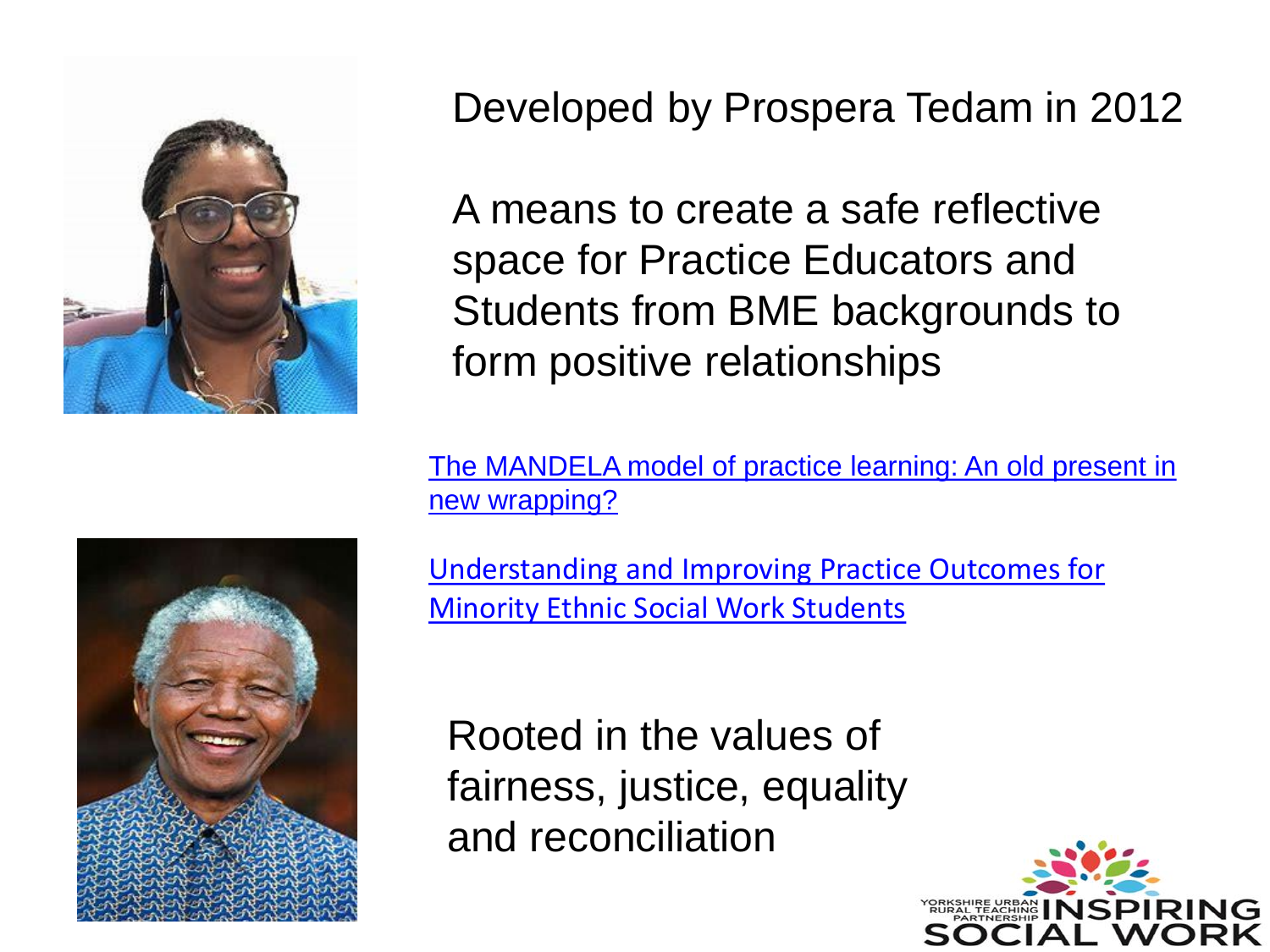

Developed by Prospera Tedam in 2012

A means to create a safe reflective space for Practice Educators and Students from BME backgrounds to form positive relationships

[The MANDELA model of practice learning: An old present in](https://core.ac.uk/download/pdf/229310239.pdf)  new wrapping?



[Understanding and Improving Practice Outcomes for](https://wp.inspiringsocialwork.org/app/uploads/2021/05/Understanding-and-Improving-Practice-Outcomes-for-Minority-Ethnic-Social-Work-Students.pdf)  Minority Ethnic Social Work Students

Rooted in the values of fairness, justice, equality and reconciliation

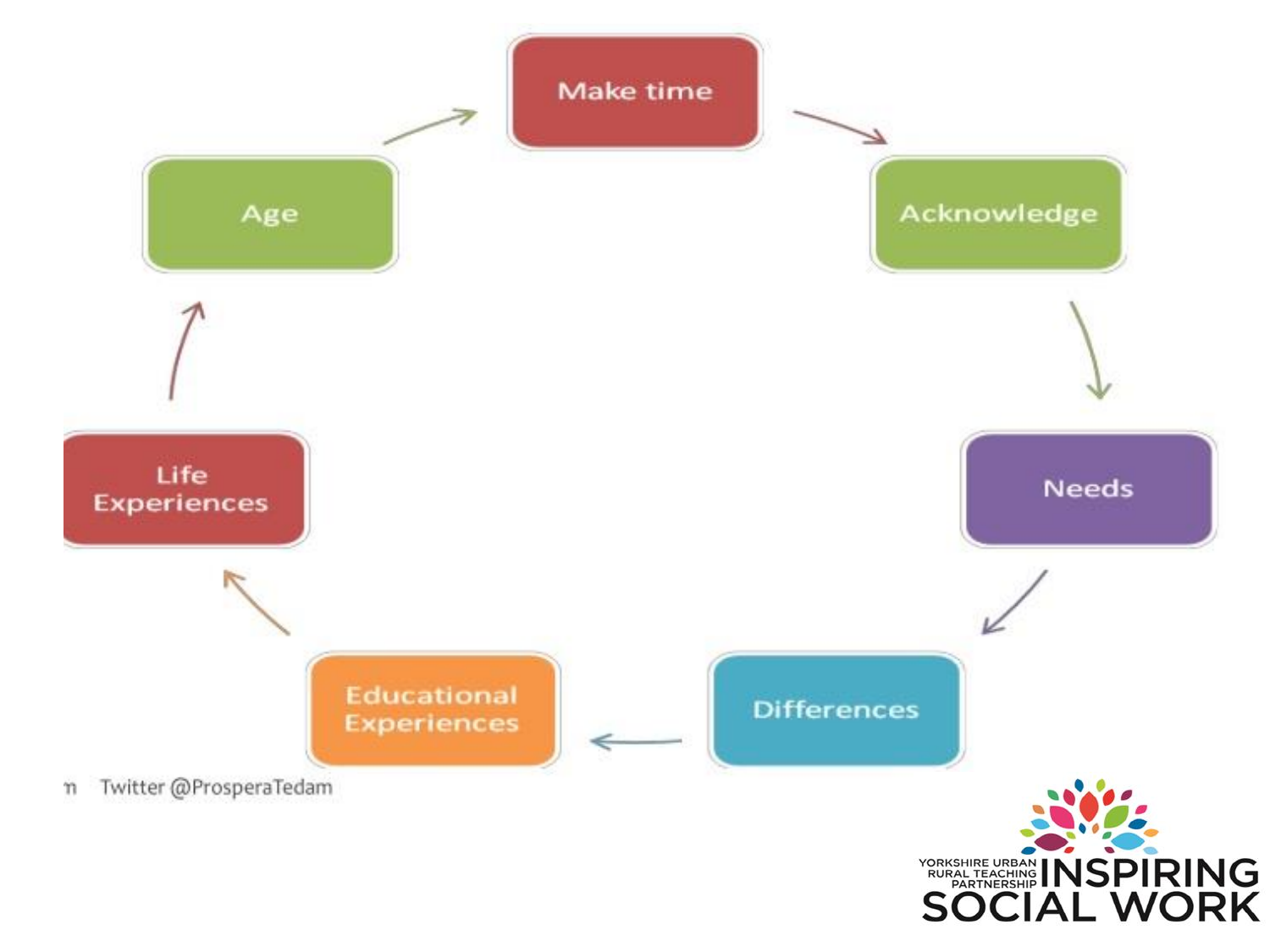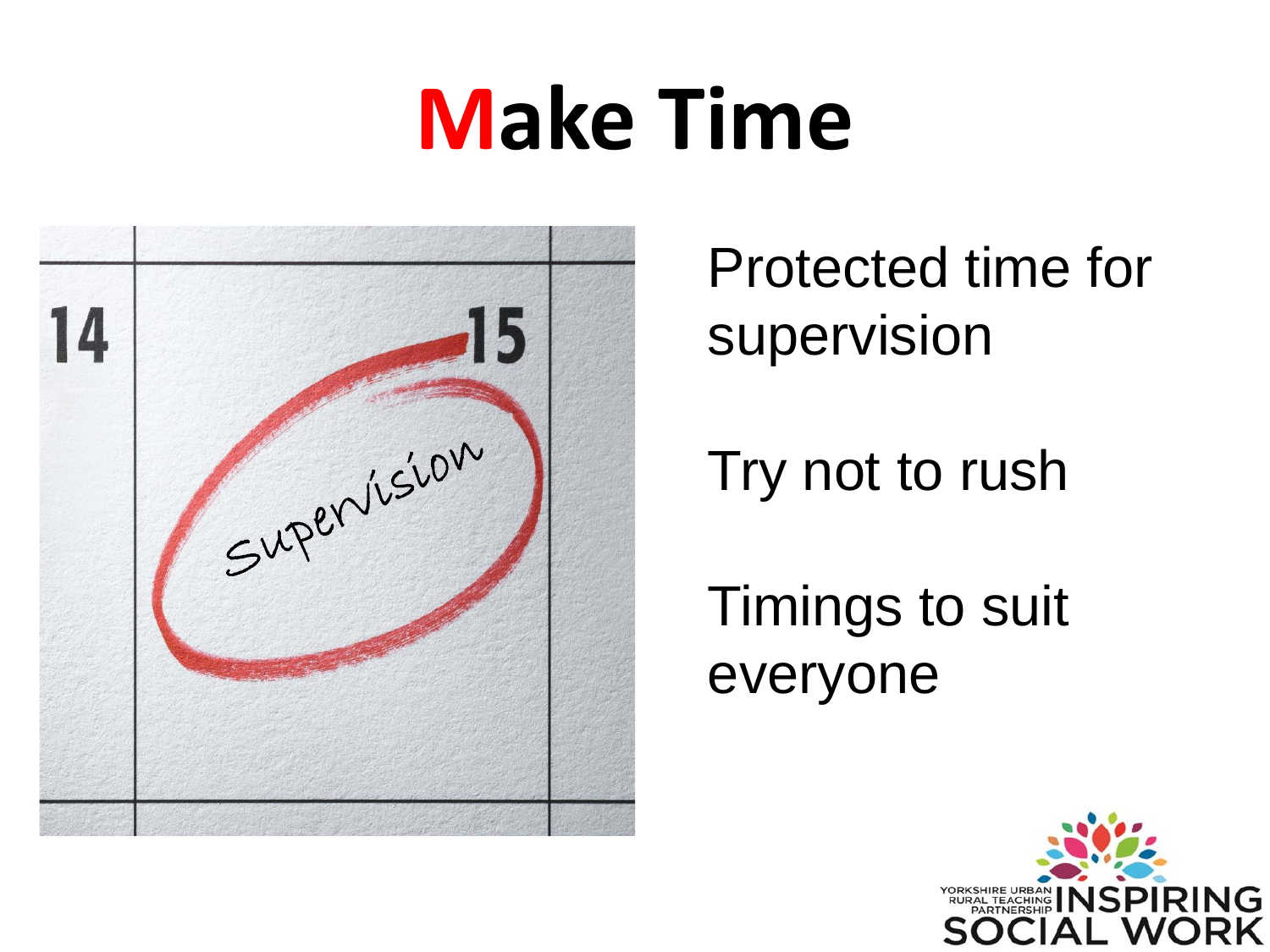### **Make Time**



Protected time for supervision

Try not to rush

Timings to suit everyone

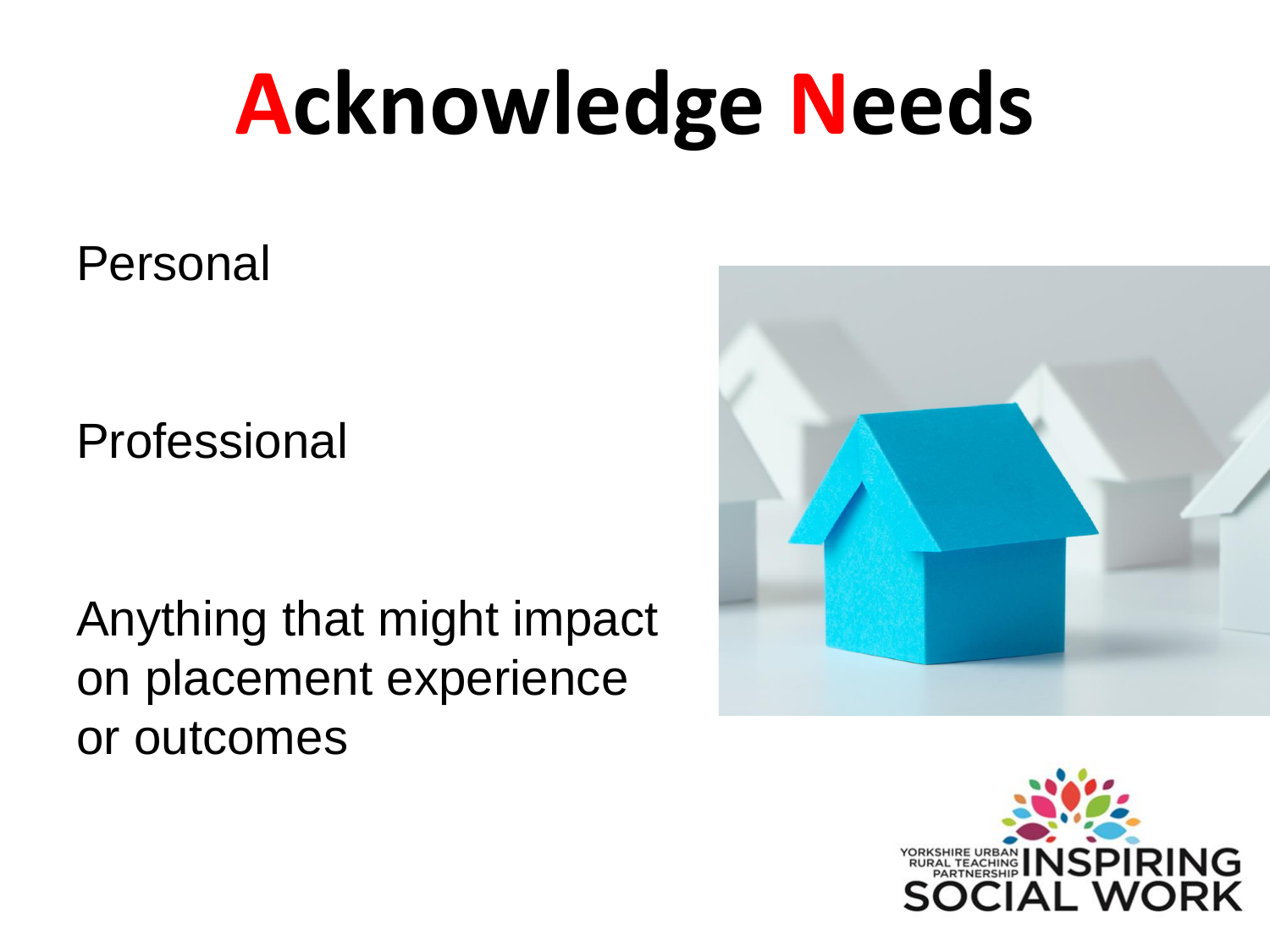# **Acknowledge Needs**

Personal

Professional

Anything that might impact on placement experience or outcomes



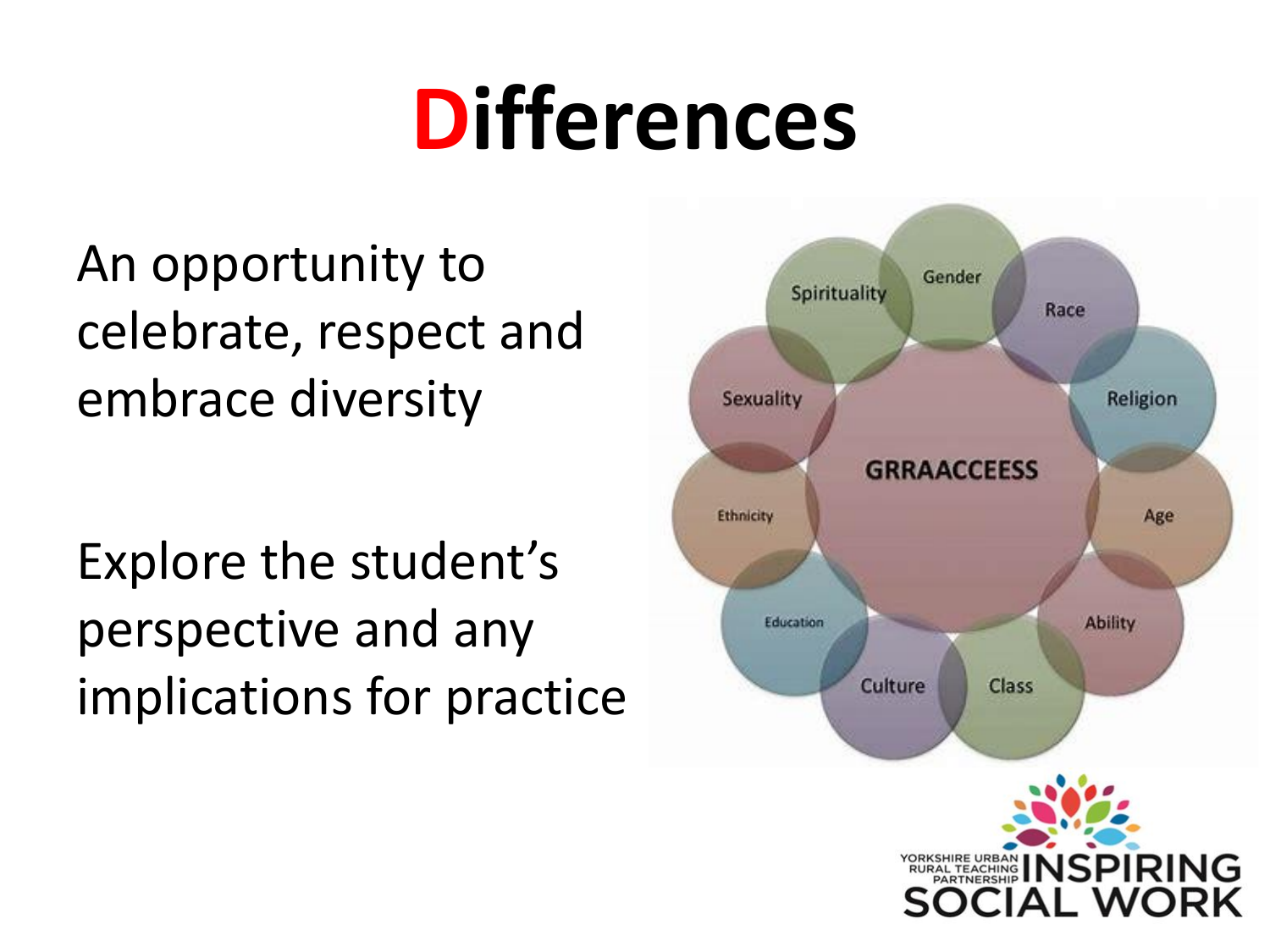### **Differences**

An opportunity to celebrate, respect and embrace diversity

Explore the student's perspective and any implications for practice

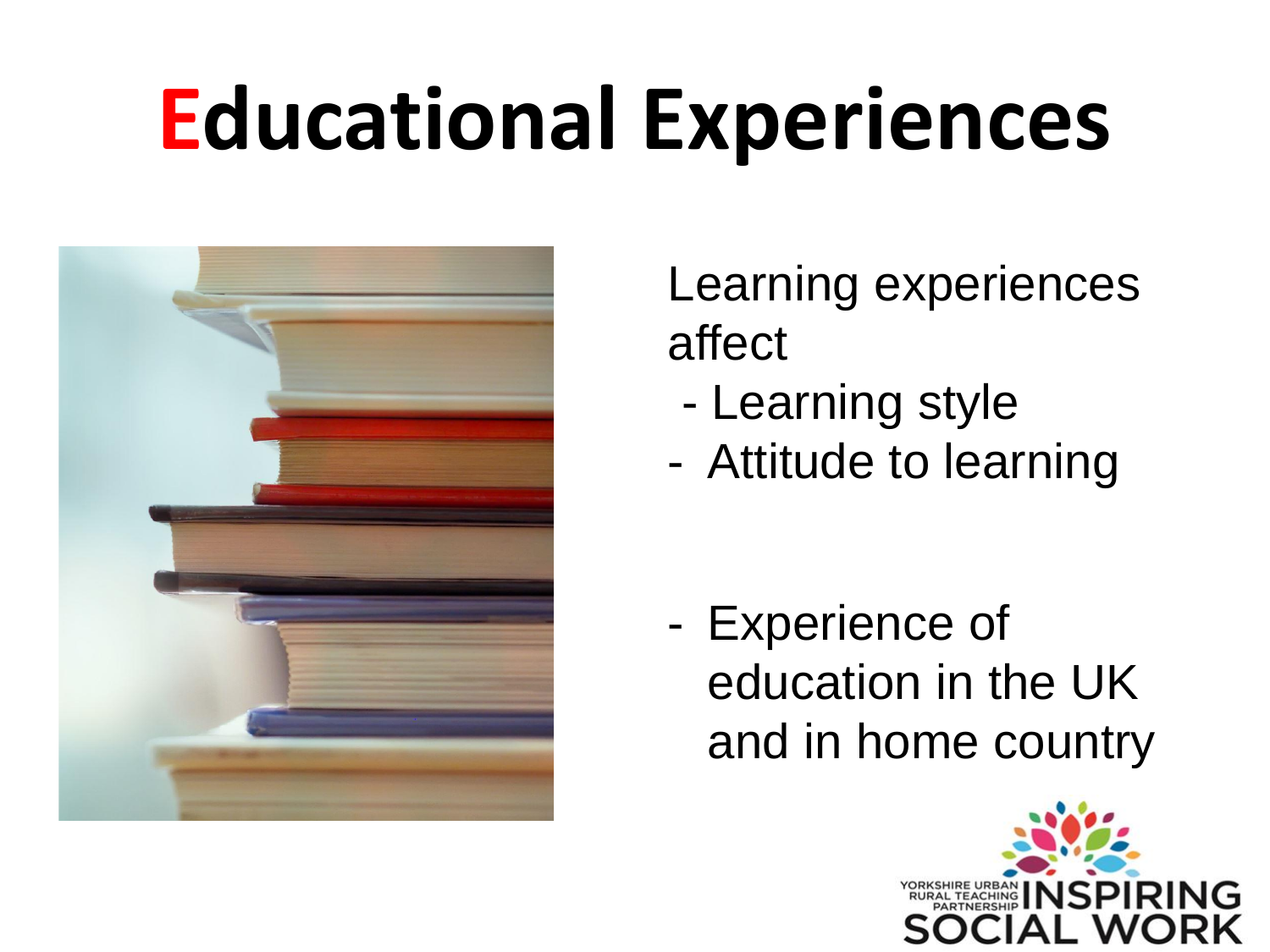# **Educational Experiences**



Learning experiences affect

- Learning style
- Attitude to learning

- Experience of education in the UK and in home country

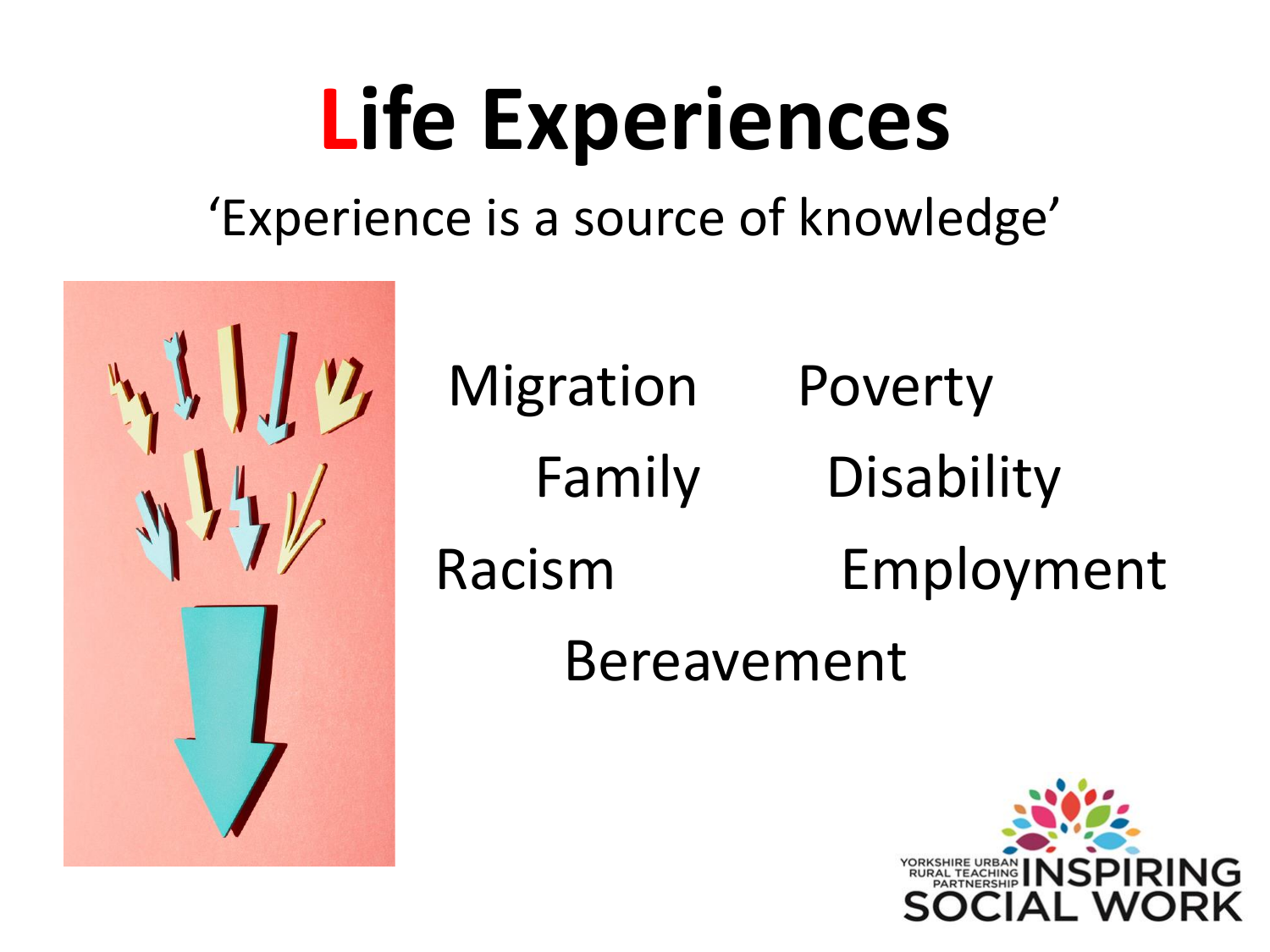# **Life Experiences**

#### 'Experience is a source of knowledge'



Migration Poverty Family Disability Racism Employment Bereavement

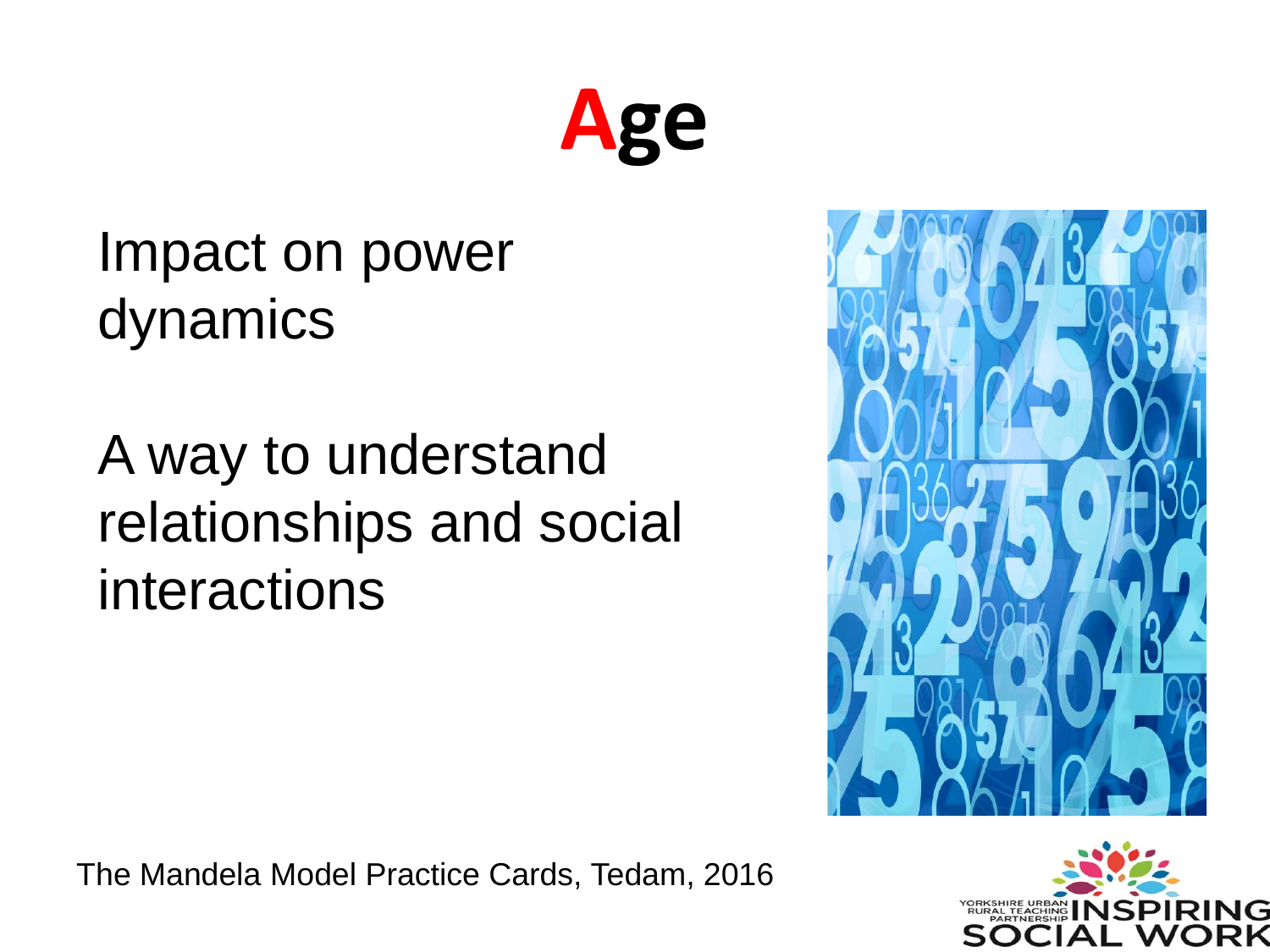

#### Impact on power dynamics

A way to understand relationships and social interactions





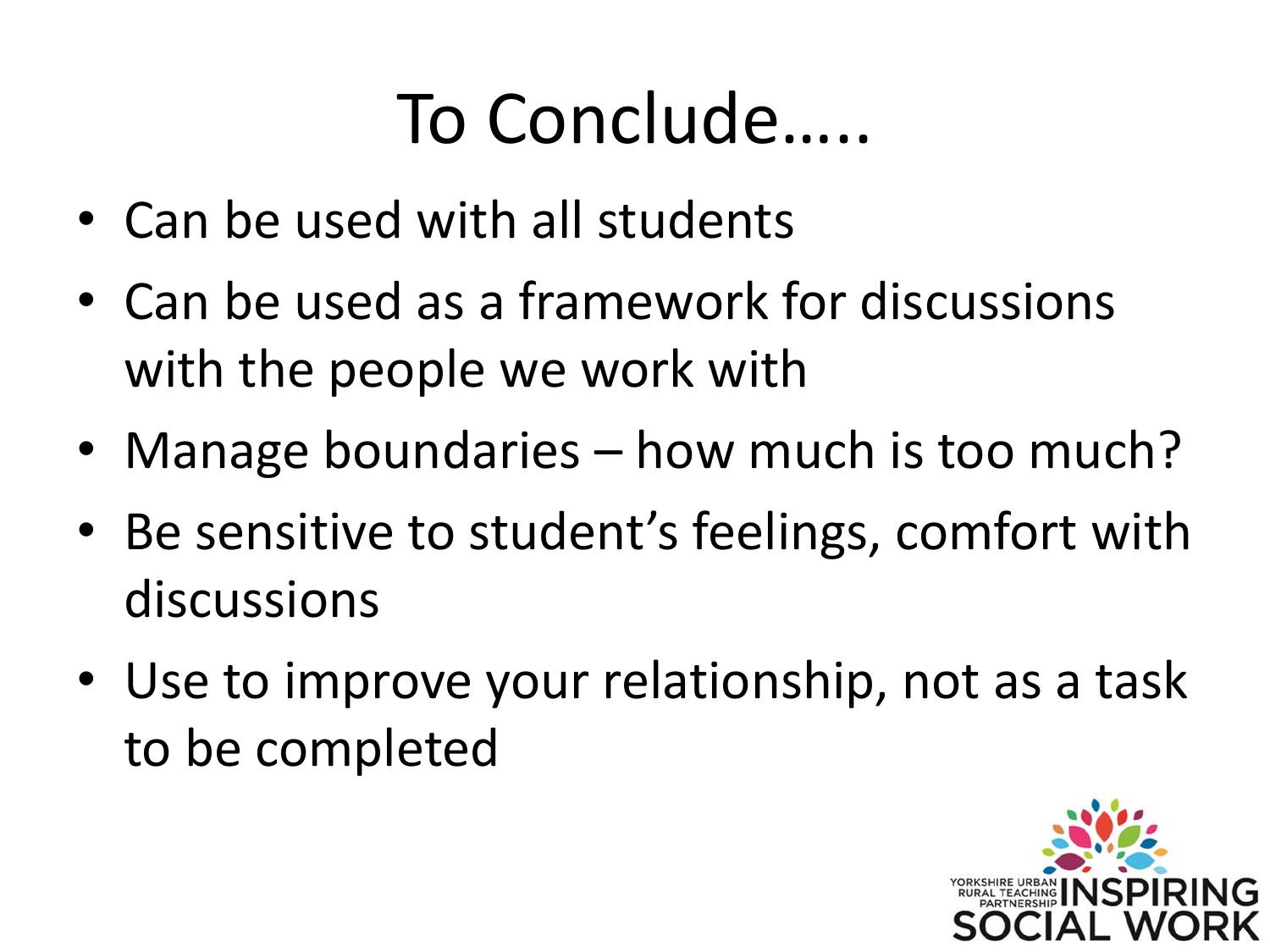### To Conclude…..

- Can be used with all students
- Can be used as a framework for discussions with the people we work with
- Manage boundaries how much is too much?
- Be sensitive to student's feelings, comfort with discussions
- Use to improve your relationship, not as a task to be completed